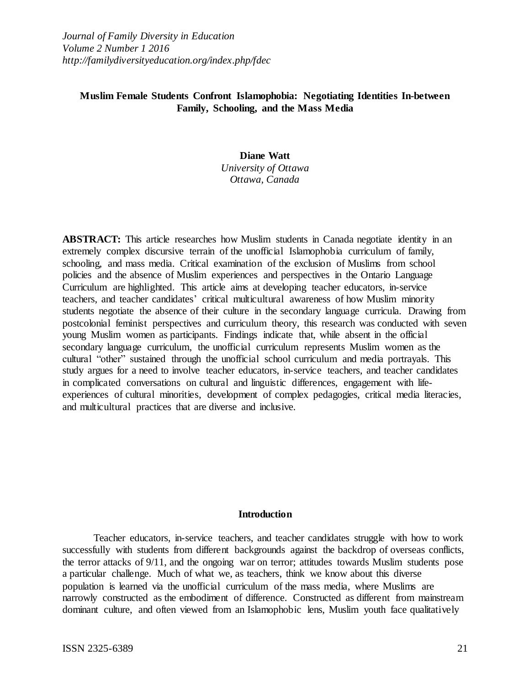*Journal of Family Diversity in Education Volume 2 Number 1 2016 http://familydiversityeducation.org/index.php/fdec*

# **Muslim Female Students Confront Islamophobia: Negotiating Identities In-between Family, Schooling, and the Mass Media**

#### **Diane Watt**

*University of Ottawa Ottawa, Canada*

**ABSTRACT:** This article researches how Muslim students in Canada negotiate identity in an extremely complex discursive terrain of the unofficial Islamophobia curriculum of family, schooling, and mass media. Critical examination of the exclusion of Muslims from school policies and the absence of Muslim experiences and perspectives in the Ontario Language Curriculum are highlighted. This article aims at developing teacher educators, in-service teachers, and teacher candidates' critical multicultural awareness of how Muslim minority students negotiate the absence of their culture in the secondary language curricula. Drawing from postcolonial feminist perspectives and curriculum theory, this research was conducted with seven young Muslim women as participants. Findings indicate that, while absent in the official secondary language curriculum, the unofficial curriculum represents Muslim women as the cultural "other" sustained through the unofficial school curriculum and media portrayals. This study argues for a need to involve teacher educators, in-service teachers, and teacher candidates in complicated conversations on cultural and linguistic differences, engagement with lifeexperiences of cultural minorities, development of complex pedagogies, critical media literacies, and multicultural practices that are diverse and inclusive.

#### **Introduction**

Teacher educators, in-service teachers, and teacher candidates struggle with how to work successfully with students from different backgrounds against the backdrop of overseas conflicts, the terror attacks of 9/11, and the ongoing war on terror; attitudes towards Muslim students pose a particular challenge. Much of what we, as teachers, think we know about this diverse population is learned via the unofficial curriculum of the mass media, where Muslims are narrowly constructed as the embodiment of difference. Constructed as different from mainstream dominant culture, and often viewed from an Islamophobic lens, Muslim youth face qualitatively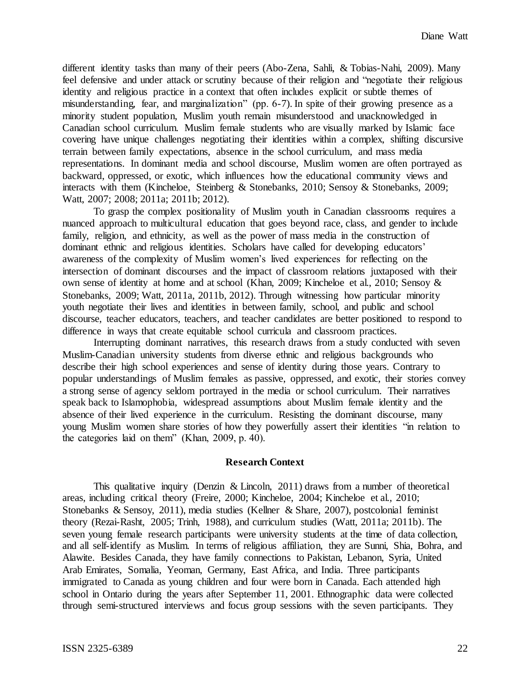different identity tasks than many of their peers (Abo-Zena, Sahli, & Tobias-Nahi, 2009). Many feel defensive and under attack or scrutiny because of their religion and "negotiate their religious identity and religious practice in a context that often includes explicit or subtle themes of misunderstanding, fear, and marginalization" (pp. 6-7). In spite of their growing presence as a minority student population, Muslim youth remain misunderstood and unacknowledged in Canadian school curriculum. Muslim female students who are visually marked by Islamic face covering have unique challenges negotiating their identities within a complex, shifting discursive terrain between family expectations, absence in the school curriculum, and mass media representations. In dominant media and school discourse, Muslim women are often portrayed as backward, oppressed, or exotic, which influences how the educational community views and interacts with them (Kincheloe, Steinberg & Stonebanks, 2010; Sensoy & Stonebanks, 2009; Watt, 2007; 2008; 2011a; 2011b; 2012).

To grasp the complex positionality of Muslim youth in Canadian classrooms requires a nuanced approach to multicultural education that goes beyond race, class, and gender to include family, religion, and ethnicity, as well as the power of mass media in the construction of dominant ethnic and religious identities. Scholars have called for developing educators' awareness of the complexity of Muslim women's lived experiences for reflecting on the intersection of dominant discourses and the impact of classroom relations juxtaposed with their own sense of identity at home and at school (Khan, 2009; Kincheloe et al., 2010; Sensoy & Stonebanks, 2009; Watt, 2011a, 2011b, 2012). Through witnessing how particular minority youth negotiate their lives and identities in between family, school, and public and school discourse, teacher educators, teachers, and teacher candidates are better positioned to respond to difference in ways that create equitable school curricula and classroom practices.

Interrupting dominant narratives, this research draws from a study conducted with seven Muslim-Canadian university students from diverse ethnic and religious backgrounds who describe their high school experiences and sense of identity during those years. Contrary to popular understandings of Muslim females as passive, oppressed, and exotic, their stories convey a strong sense of agency seldom portrayed in the media or school curriculum. Their narratives speak back to Islamophobia, widespread assumptions about Muslim female identity and the absence of their lived experience in the curriculum. Resisting the dominant discourse, many young Muslim women share stories of how they powerfully assert their identities "in relation to the categories laid on them" (Khan, 2009, p. 40).

#### **Research Context**

This qualitative inquiry (Denzin & Lincoln, 2011) draws from a number of theoretical areas, including critical theory (Freire, 2000; Kincheloe, 2004; Kincheloe et al., 2010; Stonebanks & Sensoy, 2011), media studies (Kellner & Share, 2007), postcolonial feminist theory (Rezai-Rasht, 2005; Trinh, 1988), and curriculum studies (Watt, 2011a; 2011b). The seven young female research participants were university students at the time of data collection, and all self-identify as Muslim. In terms of religious affiliation, they are Sunni, Shia, Bohra, and Alawite. Besides Canada, they have family connections to Pakistan, Lebanon, Syria, United Arab Emirates, Somalia, Yeoman, Germany, East Africa, and India. Three participants immigrated to Canada as young children and four were born in Canada. Each attended high school in Ontario during the years after September 11, 2001. Ethnographic data were collected through semi-structured interviews and focus group sessions with the seven participants. They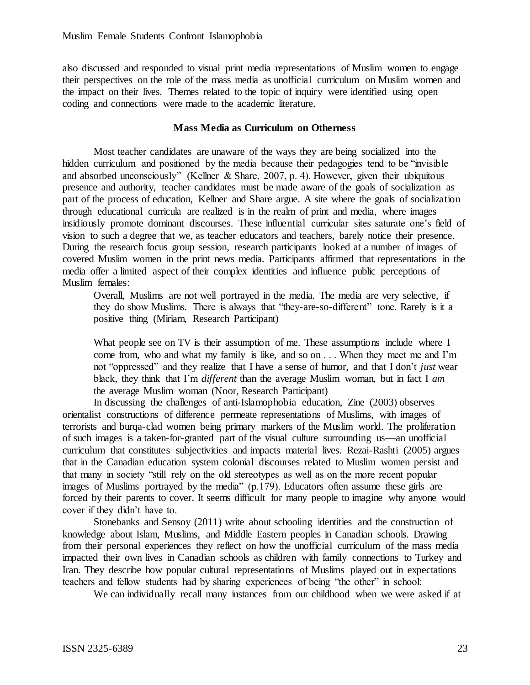also discussed and responded to visual print media representations of Muslim women to engage their perspectives on the role of the mass media as unofficial curriculum on Muslim women and the impact on their lives. Themes related to the topic of inquiry were identified using open coding and connections were made to the academic literature.

### **Mass Media as Curriculum on Otherness**

Most teacher candidates are unaware of the ways they are being socialized into the hidden curriculum and positioned by the media because their pedagogies tend to be "invisible and absorbed unconsciously" (Kellner & Share, 2007, p. 4). However, given their ubiquitous presence and authority, teacher candidates must be made aware of the goals of socialization as part of the process of education, Kellner and Share argue. A site where the goals of socialization through educational curricula are realized is in the realm of print and media, where images insidiously promote dominant discourses. These influential curricular sites saturate one's field of vision to such a degree that we, as teacher educators and teachers, barely notice their presence. During the research focus group session, research participants looked at a number of images of covered Muslim women in the print news media. Participants affirmed that representations in the media offer a limited aspect of their complex identities and influence public perceptions of Muslim females:

Overall, Muslims are not well portrayed in the media. The media are very selective, if they do show Muslims. There is always that "they-are-so-different" tone. Rarely is it a positive thing (Miriam, Research Participant)

What people see on TV is their assumption of me. These assumptions include where I come from, who and what my family is like, and so on . . . When they meet me and I'm not "oppressed" and they realize that I have a sense of humor, and that I don't *just* wear black, they think that I'm *different* than the average Muslim woman, but in fact I *am* the average Muslim woman (Noor, Research Participant)

In discussing the challenges of anti-Islamophobia education, Zine (2003) observes orientalist constructions of difference permeate representations of Muslims, with images of terrorists and burqa-clad women being primary markers of the Muslim world. The proliferation of such images is a taken-for-granted part of the visual culture surrounding us—an unofficial curriculum that constitutes subjectivities and impacts material lives. Rezai-Rashti (2005) argues that in the Canadian education system colonial discourses related to Muslim women persist and that many in society "still rely on the old stereotypes as well as on the more recent popular images of Muslims portrayed by the media" (p.179). Educators often assume these girls are forced by their parents to cover. It seems difficult for many people to imagine why anyone would cover if they didn't have to.

Stonebanks and Sensoy (2011) write about schooling identities and the construction of knowledge about Islam, Muslims, and Middle Eastern peoples in Canadian schools. Drawing from their personal experiences they reflect on how the unofficial curriculum of the mass media impacted their own lives in Canadian schools as children with family connections to Turkey and Iran. They describe how popular cultural representations of Muslims played out in expectations teachers and fellow students had by sharing experiences of being "the other" in school:

We can individually recall many instances from our childhood when we were asked if at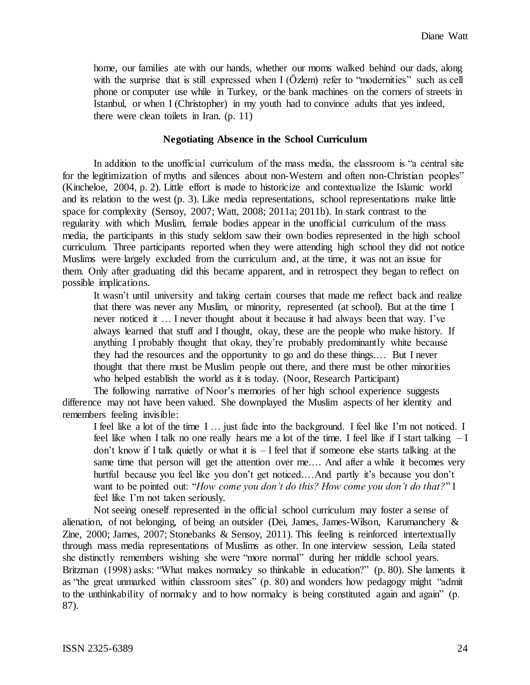home, our families ate with our hands, whether our moms walked behind our dads, along with the surprise that is still expressed when I (Özlem) refer to "modernities" such as cell phone or computer use while in Turkey, or the bank machines on the corners of streets in Istanbul, or when I (Christopher) in my youth had to convince adults that yes indeed, there were clean toilets in Iran. (p. 11)

#### **Negotiating Absence in the School Curriculum**

In addition to the unofficial curriculum of the mass media, the classroom is "a central site for the legitimization of myths and silences about non-Western and often non-Christian peoples" (Kincheloe, 2004, p. 2). Little effort is made to historicize and contextualize the Islamic world and its relation to the west (p. 3). Like media representations, school representations make little space for complexity (Sensoy, 2007; Watt, 2008; 2011a; 2011b). In stark contrast to the regularity with which Muslim, female bodies appear in the unofficial curriculum of the mass media, the participants in this study seldom saw their own bodies represented in the high school curriculum. Three participants reported when they were attending high school they did not notice Muslims were largely excluded from the curriculum and, at the time, it was not an issue for them. Only after graduating did this became apparent, and in retrospect they began to reflect on possible implications.

It wasn't until university and taking certain courses that made me reflect back and realize that there was never any Muslim, or minority, represented (at school). But at the time I never noticed it … I never thought about it because it had always been that way. I've always learned that stuff and I thought, okay, these are the people who make history. If anything I probably thought that okay, they're probably predominantly white because they had the resources and the opportunity to go and do these things.… But I never thought that there must be Muslim people out there, and there must be other minorities who helped establish the world as it is today. (Noor, Research Participant)

The following narrative of Noor's memories of her high school experience suggests difference may not have been valued. She downplayed the Muslim aspects of her identity and remembers feeling invisible:

I feel like a lot of the time I … just fade into the background. I feel like I'm not noticed. I feel like when I talk no one really hears me a lot of the time. I feel like if I start talking  $-I$ don't know if I talk quietly or what it is  $-I$  feel that if someone else starts talking at the same time that person will get the attention over me.… And after a while it becomes very hurtful because you feel like you don't get noticed....And partly it's because you don't want to be pointed out: "*How come you don't do this? How come you don't do that?*" I feel like I'm not taken seriously.

Not seeing oneself represented in the official school curriculum may foster a sense of alienation, of not belonging, of being an outsider (Dei, James, James-Wilson, Karumanchery & Zine, 2000; James, 2007; Stonebanks & Sensoy, 2011). This feeling is reinforced intertextually through mass media representations of Muslims as other. In one interview session, Leila stated she distinctly remembers wishing she were "more normal" during her middle school years. Britzman (1998) asks: "What makes normalcy so thinkable in education?" (p. 80). She laments it as "the great unmarked within classroom sites" (p. 80) and wonders how pedagogy might "admit to the unthinkability of normalcy and to how normalcy is being constituted again and again" (p. 87).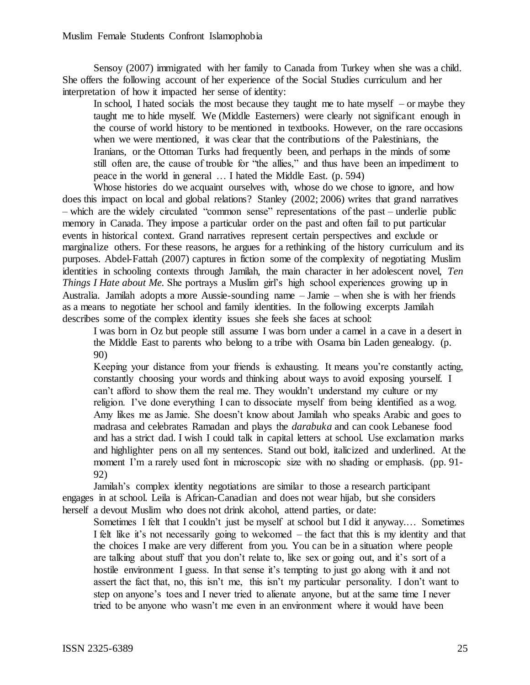Sensoy (2007) immigrated with her family to Canada from Turkey when she was a child. She offers the following account of her experience of the Social Studies curriculum and her interpretation of how it impacted her sense of identity:

In school, I hated socials the most because they taught me to hate myself  $-$  or maybe they taught me to hide myself. We (Middle Easterners) were clearly not significant enough in the course of world history to be mentioned in textbooks. However, on the rare occasions when we were mentioned, it was clear that the contributions of the Palestinians, the Iranians, or the Ottoman Turks had frequently been, and perhaps in the minds of some still often are, the cause of trouble for "the allies," and thus have been an impediment to peace in the world in general … I hated the Middle East. (p. 594)

Whose histories do we acquaint ourselves with, whose do we chose to ignore, and how does this impact on local and global relations? Stanley (2002; 2006) writes that grand narratives – which are the widely circulated "common sense" representations of the past – underlie public memory in Canada. They impose a particular order on the past and often fail to put particular events in historical context. Grand narratives represent certain perspectives and exclude or marginalize others. For these reasons, he argues for a rethinking of the history curriculum and its purposes. Abdel-Fattah (2007) captures in fiction some of the complexity of negotiating Muslim identities in schooling contexts through Jamilah, the main character in her adolescent novel, *Ten Things I Hate about Me.* She portrays a Muslim girl's high school experiences growing up in Australia. Jamilah adopts a more Aussie-sounding name – Jamie – when she is with her friends as a means to negotiate her school and family identities. In the following excerpts Jamilah describes some of the complex identity issues she feels she faces at school:

I was born in Oz but people still assume I was born under a camel in a cave in a desert in the Middle East to parents who belong to a tribe with Osama bin Laden genealogy. (p. 90)

Keeping your distance from your friends is exhausting. It means you're constantly acting, constantly choosing your words and thinking about ways to avoid exposing yourself. I can't afford to show them the real me. They wouldn't understand my culture or my religion. I've done everything I can to dissociate myself from being identified as a wog. Amy likes me as Jamie. She doesn't know about Jamilah who speaks Arabic and goes to madrasa and celebrates Ramadan and plays the *darabuka* and can cook Lebanese food and has a strict dad. I wish I could talk in capital letters at school. Use exclamation marks and highlighter pens on all my sentences. Stand out bold, italicized and underlined. At the moment I'm a rarely used font in microscopic size with no shading or emphasis. (pp. 91- 92)

Jamilah's complex identity negotiations are similar to those a research participant engages in at school. Leila is African-Canadian and does not wear hijab, but she considers herself a devout Muslim who does not drink alcohol, attend parties, or date:

Sometimes I felt that I couldn't just be myself at school but I did it anyway.… Sometimes I felt like it's not necessarily going to welcomed – the fact that this is my identity and that the choices I make are very different from you. You can be in a situation where people are talking about stuff that you don't relate to, like sex or going out, and it's sort of a hostile environment I guess. In that sense it's tempting to just go along with it and not assert the fact that, no, this isn't me, this isn't my particular personality. I don't want to step on anyone's toes and I never tried to alienate anyone, but at the same time I never tried to be anyone who wasn't me even in an environment where it would have been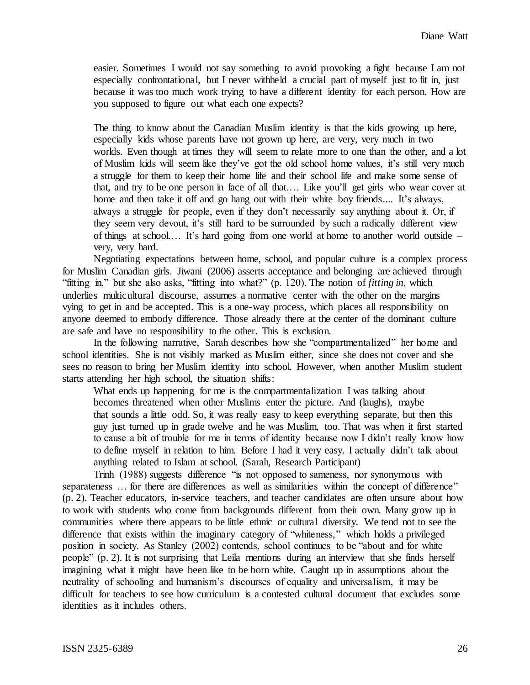easier. Sometimes I would not say something to avoid provoking a fight because I am not especially confrontational, but I never withheld a crucial part of myself just to fit in, just because it was too much work trying to have a different identity for each person. How are you supposed to figure out what each one expects?

The thing to know about the Canadian Muslim identity is that the kids growing up here, especially kids whose parents have not grown up here, are very, very much in two worlds. Even though at times they will seem to relate more to one than the other, and a lot of Muslim kids will seem like they've got the old school home values, it's still very much a struggle for them to keep their home life and their school life and make some sense of that, and try to be one person in face of all that.… Like you'll get girls who wear cover at home and then take it off and go hang out with their white boy friends.... It's always, always a struggle for people, even if they don't necessarily say anything about it. Or, if they seem very devout, it's still hard to be surrounded by such a radically different view of things at school.… It's hard going from one world at home to another world outside – very, very hard.

Negotiating expectations between home, school, and popular culture is a complex process for Muslim Canadian girls. Jiwani (2006) asserts acceptance and belonging are achieved through "fitting in," but she also asks, "fitting into what?" (p. 120). The notion of *fitting in*, which underlies multicultural discourse, assumes a normative center with the other on the margins vying to get in and be accepted. This is a one-way process, which places all responsibility on anyone deemed to embody difference. Those already there at the center of the dominant culture are safe and have no responsibility to the other. This is exclusion.

In the following narrative, Sarah describes how she "compartmentalized" her home and school identities. She is not visibly marked as Muslim either, since she does not cover and she sees no reason to bring her Muslim identity into school. However, when another Muslim student starts attending her high school, the situation shifts:

What ends up happening for me is the compartmentalization I was talking about becomes threatened when other Muslims enter the picture. And (laughs), maybe that sounds a little odd. So, it was really easy to keep everything separate, but then this guy just turned up in grade twelve and he was Muslim, too. That was when it first started to cause a bit of trouble for me in terms of identity because now I didn't really know how to define myself in relation to him. Before I had it very easy. I actually didn't talk about anything related to Islam at school. (Sarah, Research Participant)

Trinh (1988) suggests difference "is not opposed to sameness, nor synonymous with separateness ... for there are differences as well as similarities within the concept of difference" (p. 2). Teacher educators, in-service teachers, and teacher candidates are often unsure about how to work with students who come from backgrounds different from their own. Many grow up in communities where there appears to be little ethnic or cultural diversity. We tend not to see the difference that exists within the imaginary category of "whiteness," which holds a privileged position in society. As Stanley (2002) contends, school continues to be "about and for white people" (p. 2). It is not surprising that Leila mentions during an interview that she finds herself imagining what it might have been like to be born white. Caught up in assumptions about the neutrality of schooling and humanism's discourses of equality and universalism, it may be difficult for teachers to see how curriculum is a contested cultural document that excludes some identities as it includes others.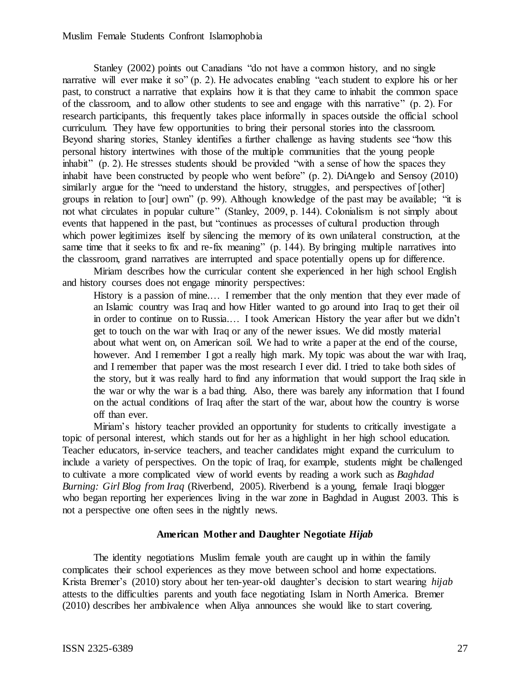Stanley (2002) points out Canadians "do not have a common history, and no single narrative will ever make it so" (p. 2). He advocates enabling "each student to explore his or her past, to construct a narrative that explains how it is that they came to inhabit the common space of the classroom, and to allow other students to see and engage with this narrative" (p. 2). For research participants, this frequently takes place informally in spaces outside the official school curriculum. They have few opportunities to bring their personal stories into the classroom. Beyond sharing stories, Stanley identifies a further challenge as having students see "how this personal history intertwines with those of the multiple communities that the young people inhabit" (p. 2). He stresses students should be provided "with a sense of how the spaces they inhabit have been constructed by people who went before" (p. 2). DiAngelo and Sensoy (2010) similarly argue for the "need to understand the history, struggles, and perspectives of [other] groups in relation to [our] own" (p. 99). Although knowledge of the past may be available; "it is not what circulates in popular culture" (Stanley, 2009, p. 144). Colonialism is not simply about events that happened in the past, but "continues as processes of cultural production through which power legitimizes itself by silencing the memory of its own unilateral construction, at the same time that it seeks to fix and re-fix meaning" (p. 144). By bringing multiple narratives into the classroom, grand narratives are interrupted and space potentially opens up for difference.

Miriam describes how the curricular content she experienced in her high school English and history courses does not engage minority perspectives:

History is a passion of mine.... I remember that the only mention that they ever made of an Islamic country was Iraq and how Hitler wanted to go around into Iraq to get their oil in order to continue on to Russia.… I took American History the year after but we didn't get to touch on the war with Iraq or any of the newer issues. We did mostly material about what went on, on American soil. We had to write a paper at the end of the course, however. And I remember I got a really high mark. My topic was about the war with Iraq, and I remember that paper was the most research I ever did. I tried to take both sides of the story, but it was really hard to find any information that would support the Iraq side in the war or why the war is a bad thing. Also, there was barely any information that I found on the actual conditions of Iraq after the start of the war, about how the country is worse off than ever.

Miriam's history teacher provided an opportunity for students to critically investigate a topic of personal interest, which stands out for her as a highlight in her high school education. Teacher educators, in-service teachers, and teacher candidates might expand the curriculum to include a variety of perspectives. On the topic of Iraq, for example, students might be challenged to cultivate a more complicated view of world events by reading a work such as *Baghdad Burning: Girl Blog from Iraq* (Riverbend, 2005). Riverbend is a young, female Iraqi blogger who began reporting her experiences living in the war zone in Baghdad in August 2003. This is not a perspective one often sees in the nightly news.

## **American Mother and Daughter Negotiate** *Hijab*

The identity negotiations Muslim female youth are caught up in within the family complicates their school experiences as they move between school and home expectations. Krista Bremer's (2010) story about her ten-year-old daughter's decision to start wearing *hijab* attests to the difficulties parents and youth face negotiating Islam in North America. Bremer (2010) describes her ambivalence when Aliya announces she would like to start covering.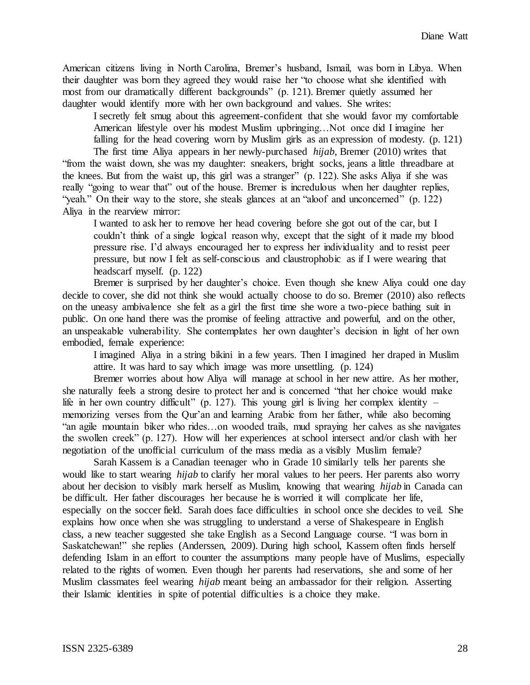American citizens living in North Carolina, Bremer's husband, Ismail, was born in Libya. When their daughter was born they agreed they would raise her "to choose what she identified with most from our dramatically different backgrounds" (p. 121). Bremer quietly assumed her daughter would identify more with her own background and values. She writes:

I secretly felt smug about this agreement-confident that she would favor my comfortable American lifestyle over his modest Muslim upbringing…Not once did I imagine her falling for the head covering worn by Muslim girls as an expression of modesty. (p. 121)

The first time Aliya appears in her newly-purchased *hijab*, Bremer (2010) writes that "from the waist down, she was my daughter: sneakers, bright socks, jeans a little threadbare at the knees. But from the waist up, this girl was a stranger" (p. 122). She asks Aliya if she was really "going to wear that" out of the house. Bremer is incredulous when her daughter replies, "yeah." On their way to the store, she steals glances at an "aloof and unconcerned" (p. 122) Aliya in the rearview mirror:

I wanted to ask her to remove her head covering before she got out of the car, but I couldn't think of a single logical reason why, except that the sight of it made my blood pressure rise. I'd always encouraged her to express her individuality and to resist peer pressure, but now I felt as self-conscious and claustrophobic as if I were wearing that headscarf myself. (p. 122)

Bremer is surprised by her daughter's choice. Even though she knew Aliya could one day decide to cover, she did not think she would actually choose to do so. Bremer (2010) also reflects on the uneasy ambivalence she felt as a girl the first time she wore a two-piece bathing suit in public. On one hand there was the promise of feeling attractive and powerful, and on the other, an unspeakable vulnerability. She contemplates her own daughter's decision in light of her own embodied, female experience:

I imagined Aliya in a string bikini in a few years. Then I imagined her draped in Muslim attire. It was hard to say which image was more unsettling. (p. 124)

Bremer worries about how Aliya will manage at school in her new attire. As her mother, she naturally feels a strong desire to protect her and is concerned "that her choice would make life in her own country difficult" (p. 127). This young girl is living her complex identity – memorizing verses from the Qur'an and learning Arabic from her father, while also becoming "an agile mountain biker who rides…on wooded trails, mud spraying her calves as she navigates the swollen creek" (p. 127). How will her experiences at school intersect and/or clash with her negotiation of the unofficial curriculum of the mass media as a visibly Muslim female?

Sarah Kassem is a Canadian teenager who in Grade 10 similarly tells her parents she would like to start wearing *hijab* to clarify her moral values to her peers. Her parents also worry about her decision to visibly mark herself as Muslim, knowing that wearing *hijab* in Canada can be difficult. Her father discourages her because he is worried it will complicate her life, especially on the soccer field. Sarah does face difficulties in school once she decides to veil. She explains how once when she was struggling to understand a verse of Shakespeare in English class, a new teacher suggested she take English as a Second Language course. "I was born in Saskatchewan!" she replies (Anderssen, 2009). During high school, Kassem often finds herself defending Islam in an effort to counter the assumptions many people have of Muslims, especially related to the rights of women. Even though her parents had reservations, she and some of her Muslim classmates feel wearing *hijab* meant being an ambassador for their religion. Asserting their Islamic identities in spite of potential difficulties is a choice they make.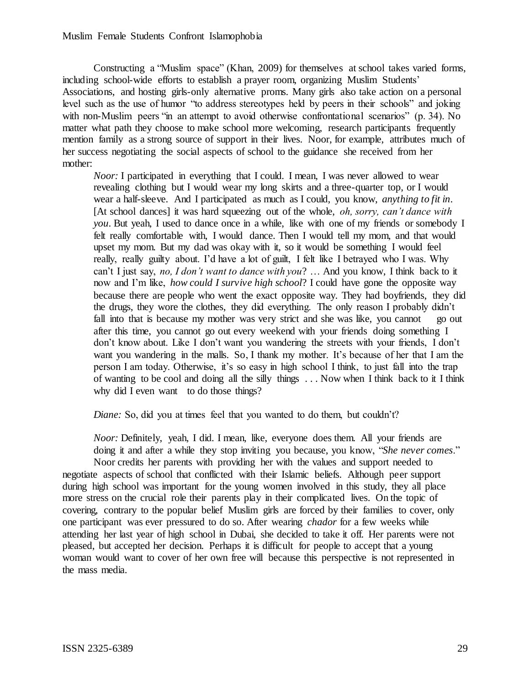Constructing a "Muslim space" (Khan, 2009) for themselves at school takes varied forms, including school-wide efforts to establish a prayer room, organizing Muslim Students' Associations, and hosting girls-only alternative proms. Many girls also take action on a personal level such as the use of humor "to address stereotypes held by peers in their schools" and joking with non-Muslim peers "in an attempt to avoid otherwise confrontational scenarios" (p. 34). No matter what path they choose to make school more welcoming, research participants frequently mention family as a strong source of support in their lives. Noor, for example, attributes much of her success negotiating the social aspects of school to the guidance she received from her mother:

*Noor:* I participated in everything that I could. I mean, I was never allowed to wear revealing clothing but I would wear my long skirts and a three-quarter top, or I would wear a half-sleeve. And I participated as much as I could, you know, *anything to fit in*. [At school dances] it was hard squeezing out of the whole, *oh, sorry, can't dance with you*. But yeah, I used to dance once in a while, like with one of my friends or somebody I felt really comfortable with, I would dance. Then I would tell my mom, and that would upset my mom. But my dad was okay with it, so it would be something I would feel really, really guilty about. I'd have a lot of guilt, I felt like I betrayed who I was. Why can't I just say, *no, I don't want to dance with you*? … And you know, I think back to it now and I'm like, *how could I survive high school*? I could have gone the opposite way because there are people who went the exact opposite way. They had boyfriends, they did the drugs, they wore the clothes, they did everything. The only reason I probably didn't fall into that is because my mother was very strict and she was like, you cannot go out after this time, you cannot go out every weekend with your friends doing something I don't know about. Like I don't want you wandering the streets with your friends, I don't want you wandering in the malls. So, I thank my mother. It's because of her that I am the person I am today. Otherwise, it's so easy in high school I think, to just fall into the trap of wanting to be cool and doing all the silly things . . . Now when I think back to it I think why did I even want to do those things?

*Diane:* So, did you at times feel that you wanted to do them, but couldn't?

*Noor:* Definitely, yeah, I did. I mean, like, everyone does them. All your friends are doing it and after a while they stop inviting you because, you know, "*She never comes*."

Noor credits her parents with providing her with the values and support needed to negotiate aspects of school that conflicted with their Islamic beliefs. Although peer support during high school was important for the young women involved in this study, they all place more stress on the crucial role their parents play in their complicated lives. On the topic of covering, contrary to the popular belief Muslim girls are forced by their families to cover, only one participant was ever pressured to do so. After wearing *chador* for a few weeks while attending her last year of high school in Dubai, she decided to take it off. Her parents were not pleased, but accepted her decision. Perhaps it is difficult for people to accept that a young woman would want to cover of her own free will because this perspective is not represented in the mass media.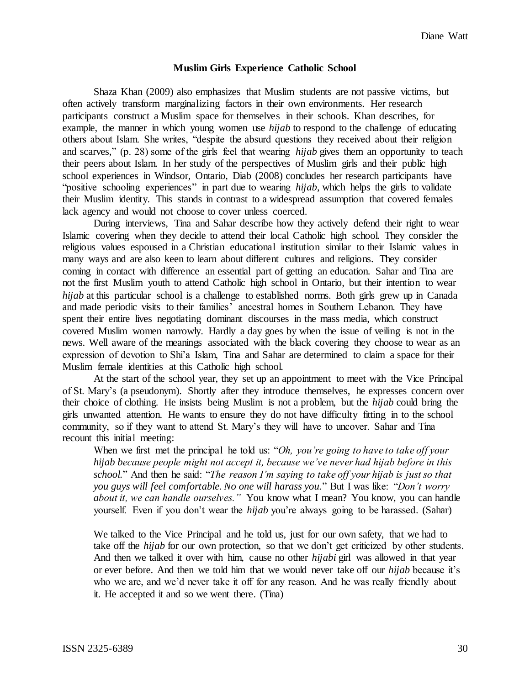### **Muslim Girls Experience Catholic School**

Shaza Khan (2009) also emphasizes that Muslim students are not passive victims, but often actively transform marginalizing factors in their own environments. Her research participants construct a Muslim space for themselves in their schools. Khan describes, for example, the manner in which young women use *hijab* to respond to the challenge of educating others about Islam. She writes, "despite the absurd questions they received about their religion and scarves," (p. 28) some of the girls feel that wearing *hijab* gives them an opportunity to teach their peers about Islam. In her study of the perspectives of Muslim girls and their public high school experiences in Windsor, Ontario, Diab (2008) concludes her research participants have "positive schooling experiences" in part due to wearing *hijab*, which helps the girls to validate their Muslim identity. This stands in contrast to a widespread assumption that covered females lack agency and would not choose to cover unless coerced.

During interviews, Tina and Sahar describe how they actively defend their right to wear Islamic covering when they decide to attend their local Catholic high school. They consider the religious values espoused in a Christian educational institution similar to their Islamic values in many ways and are also keen to learn about different cultures and religions. They consider coming in contact with difference an essential part of getting an education. Sahar and Tina are not the first Muslim youth to attend Catholic high school in Ontario, but their intention to wear *hijab* at this particular school is a challenge to established norms. Both girls grew up in Canada and made periodic visits to their families' ancestral homes in Southern Lebanon. They have spent their entire lives negotiating dominant discourses in the mass media, which construct covered Muslim women narrowly. Hardly a day goes by when the issue of veiling is not in the news. Well aware of the meanings associated with the black covering they choose to wear as an expression of devotion to Shi'a Islam, Tina and Sahar are determined to claim a space for their Muslim female identities at this Catholic high school.

At the start of the school year, they set up an appointment to meet with the Vice Principal of St. Mary's (a pseudonym). Shortly after they introduce themselves, he expresses concern over their choice of clothing. He insists being Muslim is not a problem, but the *hijab* could bring the girls unwanted attention. He wants to ensure they do not have difficulty fitting in to the school community, so if they want to attend St. Mary's they will have to uncover. Sahar and Tina recount this initial meeting:

When we first met the principal he told us: "*Oh, you're going to have to take off your hijab because people might not accept it, because we've never had hijab before in this school.*" And then he said: "*The reason I'm saying to take off your hijab is just so that you guys will feel comfortable. No one will harass you.*" But I was like: "*Don't worry about it, we can handle ourselves."* You know what I mean? You know, you can handle yourself. Even if you don't wear the *hijab* you're always going to be harassed. (Sahar)

We talked to the Vice Principal and he told us, just for our own safety, that we had to take off the *hijab* for our own protection, so that we don't get criticized by other students. And then we talked it over with him, cause no other *hijabi* girl was allowed in that year or ever before. And then we told him that we would never take off our *hijab* because it's who we are, and we'd never take it off for any reason. And he was really friendly about it. He accepted it and so we went there. (Tina)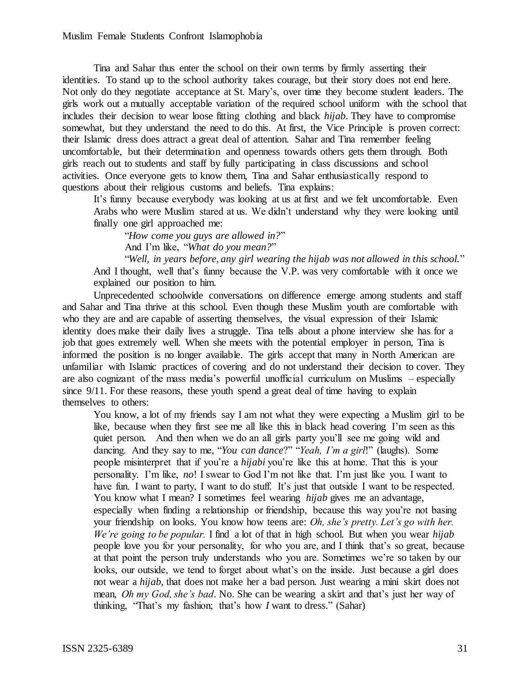Tina and Sahar thus enter the school on their own terms by firmly asserting their identities. To stand up to the school authority takes courage, but their story does not end here. Not only do they negotiate acceptance at St. Mary's, over time they become student leaders. The girls work out a mutually acceptable variation of the required school uniform with the school that includes their decision to wear loose fitting clothing and black *hijab*. They have to compromise somewhat, but they understand the need to do this. At first, the Vice Principle is proven correct: their Islamic dress does attract a great deal of attention. Sahar and Tina remember feeling uncomfortable, but their determination and openness towards others gets them through. Both girls reach out to students and staff by fully participating in class discussions and school activities. Once everyone gets to know them, Tina and Sahar enthusiastically respond to questions about their religious customs and beliefs. Tina explains:

It's funny because everybody was looking at us at first and we felt uncomfortable. Even Arabs who were Muslim stared at us. We didn't understand why they were looking until finally one girl approached me:

"*How come you guys are allowed in?*" And I'm like, "*What do you mean?*"

"*Well, in years before, any girl wearing the hijab was not allowed in this school.*" And I thought, well that's funny because the V.P. was very comfortable with it once we explained our position to him.

Unprecedented schoolwide conversations on difference emerge among students and staff and Sahar and Tina thrive at this school. Even though these Muslim youth are comfortable with who they are and are capable of asserting themselves, the visual expression of their Islamic identity does make their daily lives a struggle. Tina tells about a phone interview she has for a job that goes extremely well. When she meets with the potential employer in person, Tina is informed the position is no longer available. The girls accept that many in North American are unfamiliar with Islamic practices of covering and do not understand their decision to cover. They are also cognizant of the mass media's powerful unofficial curriculum on Muslims – especially since 9/11. For these reasons, these youth spend a great deal of time having to explain themselves to others:

You know, a lot of my friends say I am not what they were expecting a Muslim girl to be like, because when they first see me all like this in black head covering I'm seen as this quiet person. And then when we do an all girls party you'll see me going wild and dancing. And they say to me, "*You can dance*?" "*Yeah, I'm a girl*!" (laughs). Some people misinterpret that if you're a *hijabi* you're like this at home. That this is your personality. I'm like, *no*! I swear to God I'm not like that. I'm just like you. I want to have fun. I want to party, I want to do stuff. It's just that outside I want to be respected. You know what I mean? I sometimes feel wearing *hijab* gives me an advantage, especially when finding a relationship or friendship, because this way you're not basing your friendship on looks. You know how teens are: *Oh, she's pretty. Let's go with her. We're going to be popular.* I find a lot of that in high school. But when you wear *hijab* people love you for your personality, for who you are, and I think that's so great, because at that point the person truly understands who you are. Sometimes we're so taken by our looks, our outside, we tend to forget about what's on the inside. Just because a girl does not wear a *hijab*, that does not make her a bad person. Just wearing a mini skirt does not mean, *Oh my God, she's bad*. No. She can be wearing a skirt and that's just her way of thinking, "That's my fashion; that's how *I* want to dress." (Sahar)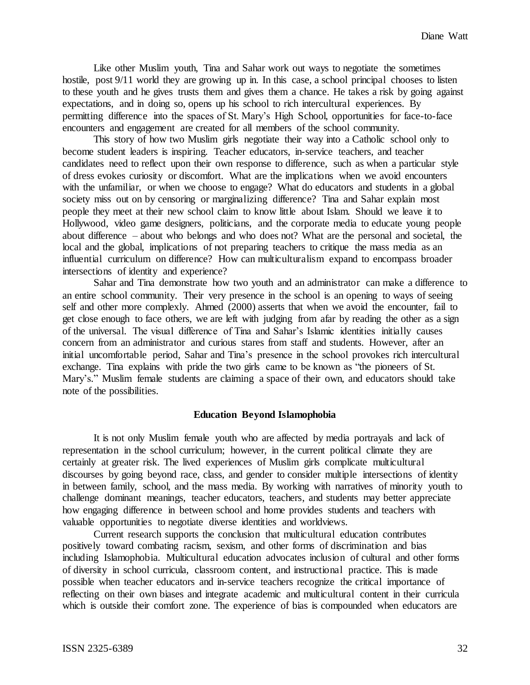Like other Muslim youth, Tina and Sahar work out ways to negotiate the sometimes hostile, post 9/11 world they are growing up in. In this case, a school principal chooses to listen to these youth and he gives trusts them and gives them a chance. He takes a risk by going against expectations, and in doing so, opens up his school to rich intercultural experiences. By permitting difference into the spaces of St. Mary's High School, opportunities for face-to-face encounters and engagement are created for all members of the school community.

This story of how two Muslim girls negotiate their way into a Catholic school only to become student leaders is inspiring. Teacher educators, in-service teachers, and teacher candidates need to reflect upon their own response to difference, such as when a particular style of dress evokes curiosity or discomfort. What are the implications when we avoid encounters with the unfamiliar, or when we choose to engage? What do educators and students in a global society miss out on by censoring or marginalizing difference? Tina and Sahar explain most people they meet at their new school claim to know little about Islam. Should we leave it to Hollywood, video game designers, politicians, and the corporate media to educate young people about difference – about who belongs and who does not? What are the personal and societal, the local and the global, implications of not preparing teachers to critique the mass media as an influential curriculum on difference? How can multiculturalism expand to encompass broader intersections of identity and experience?

Sahar and Tina demonstrate how two youth and an administrator can make a difference to an entire school community. Their very presence in the school is an opening to ways of seeing self and other more complexly. Ahmed (2000) asserts that when we avoid the encounter, fail to get close enough to face others, we are left with judging from afar by reading the other as a sign of the universal. The visual difference of Tina and Sahar's Islamic identities initially causes concern from an administrator and curious stares from staff and students. However, after an initial uncomfortable period, Sahar and Tina's presence in the school provokes rich intercultural exchange. Tina explains with pride the two girls came to be known as "the pioneers of St. Mary's." Muslim female students are claiming a space of their own, and educators should take note of the possibilities.

#### **Education Beyond Islamophobia**

It is not only Muslim female youth who are affected by media portrayals and lack of representation in the school curriculum; however, in the current political climate they are certainly at greater risk. The lived experiences of Muslim girls complicate multicultural discourses by going beyond race, class, and gender to consider multiple intersections of identity in between family, school, and the mass media. By working with narratives of minority youth to challenge dominant meanings, teacher educators, teachers, and students may better appreciate how engaging difference in between school and home provides students and teachers with valuable opportunities to negotiate diverse identities and worldviews.

Current research supports the conclusion that multicultural education contributes positively toward combating racism, sexism, and other forms of discrimination and bias including Islamophobia. Multicultural education advocates inclusion of cultural and other forms of diversity in school curricula, classroom content, and instructional practice. This is made possible when teacher educators and in-service teachers recognize the critical importance of reflecting on their own biases and integrate academic and multicultural content in their curricula which is outside their comfort zone. The experience of bias is compounded when educators are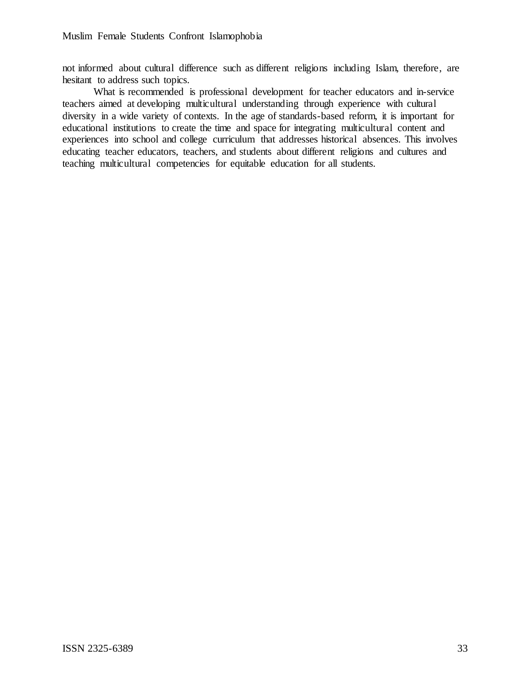not informed about cultural difference such as different religions including Islam, therefore, are hesitant to address such topics.

What is recommended is professional development for teacher educators and in-service teachers aimed at developing multicultural understanding through experience with cultural diversity in a wide variety of contexts. In the age of standards-based reform, it is important for educational institutions to create the time and space for integrating multicultural content and experiences into school and college curriculum that addresses historical absences. This involves educating teacher educators, teachers, and students about different religions and cultures and teaching multicultural competencies for equitable education for all students.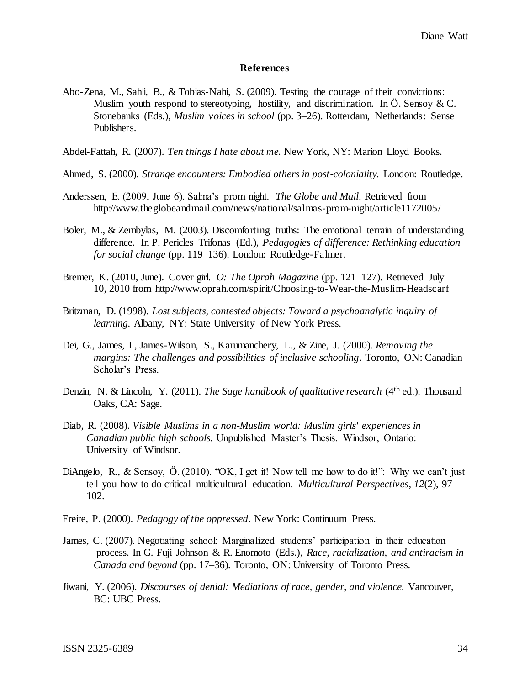#### **References**

- Abo-Zena, M., Sahli, B., & Tobias-Nahi, S. (2009). Testing the courage of their convictions: Muslim youth respond to stereotyping, hostility, and discrimination. In  $\ddot{\text{O}}$ . Sensoy & C. Stonebanks (Eds.), *Muslim voices in school* (pp. 3–26). Rotterdam, Netherlands: Sense Publishers.
- Abdel-Fattah, R. (2007). *Ten things I hate about me.* New York, NY: Marion Lloyd Books.
- Ahmed, S. (2000). *Strange encounters: Embodied others in post-coloniality.* London: Routledge.
- Anderssen, E. (2009, June 6). Salma's prom night. *The Globe and Mail*. Retrieved from http://www.theglobeandmail.com/news/national/salmas-prom-night/article1172005/
- Boler, M., & Zembylas, M. (2003). Discomforting truths: The emotional terrain of understanding difference. In P. Pericles Trifonas (Ed.), *Pedagogies of difference: Rethinking education for social change* (pp. 119–136). London: Routledge-Falmer.
- Bremer, K. (2010, June). Cover girl. *O: The Oprah Magazine* (pp. 121–127). Retrieved July 10, 2010 from http://www.oprah.com/spirit/Choosing-to-Wear-the-Muslim-Headscarf
- Britzman, D. (1998). *Lost subjects, contested objects: Toward a psychoanalytic inquiry of learning.* Albany, NY: State University of New York Press.
- Dei, G., James, I., James-Wilson, S., Karumanchery, L., & Zine, J. (2000). *Removing the margins: The challenges and possibilities of inclusive schooling*. Toronto, ON: Canadian Scholar's Press.
- Denzin, N. & Lincoln, Y. (2011). *The Sage handbook of qualitative research* (4th ed.). Thousand Oaks, CA: Sage.
- Diab, R. (2008). *Visible Muslims in a non-Muslim world: Muslim girls' experiences in Canadian public high schools.* Unpublished Master's Thesis. Windsor, Ontario: University of Windsor.
- [DiAngelo, R.,](http://www.robindiangelo.com/) & Sensoy, Ö. (2010). "OK, I get it! Now tell me how to do it!": Why we can't just tell you how to do critical multicultural education. *[Multicultural Perspectives](http://www.tandf.co.uk/journals/titles/15210960.asp)*, *12*(2), 97– 102.
- Freire, P. (2000). *Pedagogy of the oppressed*. New York: Continuum Press.
- James, C. (2007). Negotiating school: Marginalized students' participation in their education process. In G. Fuji Johnson & R. Enomoto (Eds.), *Race, racialization, and antiracism in Canada and beyond* (pp. 17–36). Toronto, ON: University of Toronto Press.
- Jiwani, Y. (2006). *Discourses of denial: Mediations of race, gender, and violence.* Vancouver, BC: UBC Press.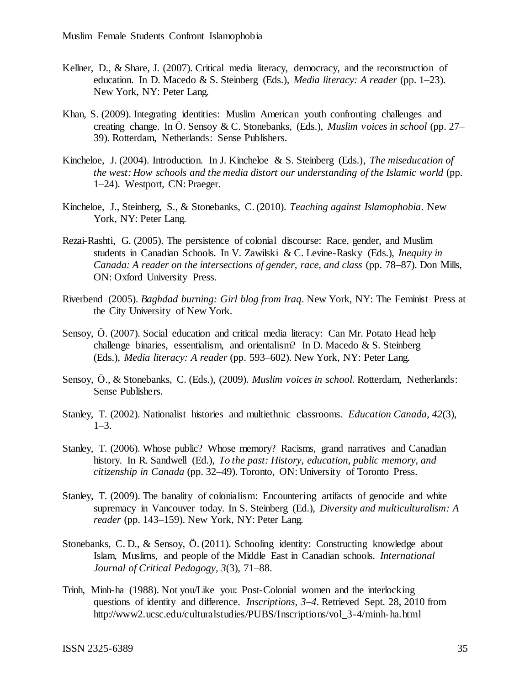- Kellner, D., & Share, J. (2007). Critical media literacy, democracy, and the reconstruction of education. In D. Macedo & S. Steinberg (Eds.), *Media literacy: A reader* (pp. 1–23). New York, NY: Peter Lang.
- Khan, S. (2009). Integrating identities: Muslim American youth confronting challenges and creating change. In Ö. Sensoy & C. Stonebanks, (Eds.), *Muslim voices in school* (pp. 27– 39). Rotterdam, Netherlands: Sense Publishers.
- Kincheloe, J. (2004). Introduction. In J. Kincheloe & S. Steinberg (Eds.), *The miseducation of the west: How schools and the media distort our understanding of the Islamic world* (pp. 1–24). Westport, CN: Praeger.
- Kincheloe, J., Steinberg, S., & Stonebanks, C. (2010). *Teaching against Islamophobia*. New York, NY: Peter Lang.
- Rezai-Rashti, G. (2005). The persistence of colonial discourse: Race, gender, and Muslim students in Canadian Schools. In V. Zawilski & C. Levine-Rasky (Eds.), *Inequity in Canada: A reader on the intersections of gender, race, and class* (pp. 78–87). Don Mills, ON: Oxford University Press.
- Riverbend (2005). *Baghdad burning: Girl blog from Iraq*. New York, NY: The Feminist Press at the City University of New York.
- Sensoy, Ö. (2007). Social education and critical media literacy: Can Mr. Potato Head help challenge binaries, essentialism, and orientalism? In D. Macedo & S. Steinberg (Eds.), *Media literacy: A reader* (pp. 593–602). New York, NY: Peter Lang.
- Sensoy, Ö., & Stonebanks, C. (Eds.), (2009). *Muslim voices in school*. Rotterdam, Netherlands: Sense Publishers.
- Stanley, T. (2002). Nationalist histories and multiethnic classrooms. *Education Canada, 42*(3), 1–3.
- Stanley, T. (2006). Whose public? Whose memory? Racisms, grand narratives and Canadian history. In R. Sandwell (Ed.), *To the past: History, education, public memory, and citizenship in Canada* (pp. 32–49). Toronto, ON: University of Toronto Press.
- Stanley, T. (2009). The banality of colonialism: Encountering artifacts of genocide and white supremacy in Vancouver today. In S. Steinberg (Ed.), *Diversity and multiculturalism: A reader* (pp. 143–159). New York, NY: Peter Lang.
- Stonebanks, C. D., & Sensoy, Ö. (2011). Schooling identity: Constructing knowledge about Islam, Muslims, and people of the Middle East in Canadian schools. *International Journal of Critical Pedagogy, 3*(3), 71–88.
- Trinh, Minh-ha (1988). Not you/Like you: Post-Colonial women and the interlocking questions of identity and difference. *Inscriptions, 3–4*. Retrieved Sept. 28, 2010 from http://www2.ucsc.edu/culturalstudies/PUBS/Inscriptions/vol\_3-4/minh-ha.html